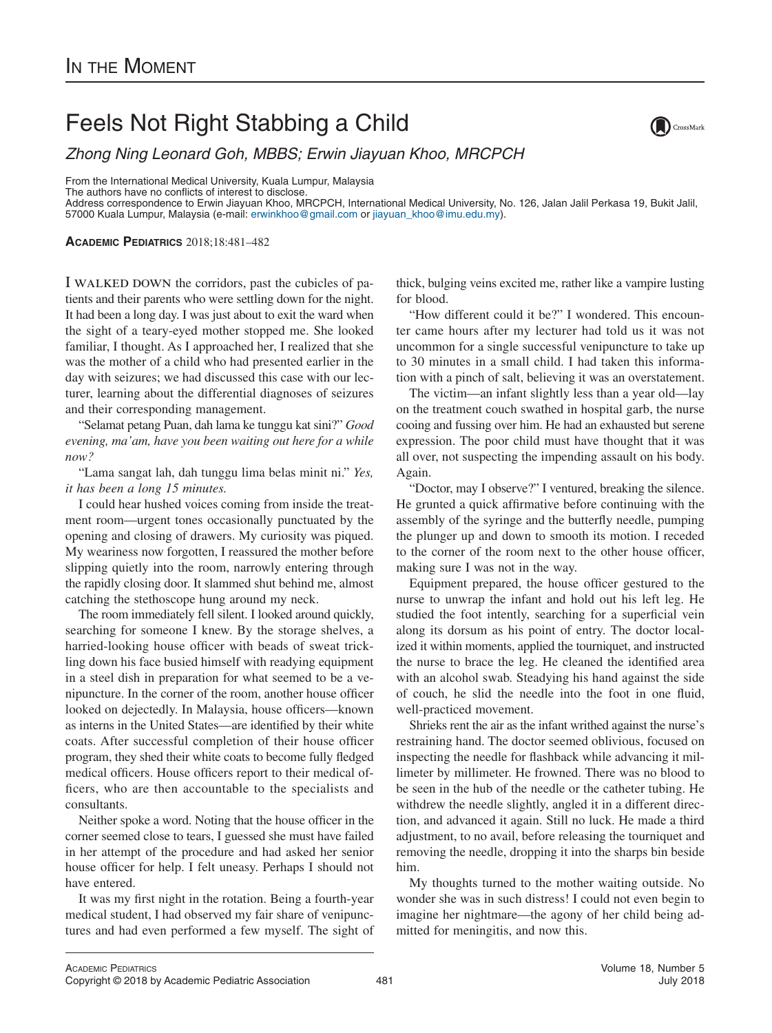## Feels Not Right Stabbing a Child

*Zhong Ning Leonard Goh, MBBS; Erwin Jiayuan Khoo, MRCPCH*

From the International Medical University, Kuala Lumpur, Malaysia

The authors have no conflicts of interest to disclose.

Address correspondence to Erwin Jiayuan Khoo, MRCPCH, International Medical University, No. 126, Jalan Jalil Perkasa 19, Bukit Jalil, 57000 Kuala Lumpur, Malaysia (e-mail: [erwinkhoo@gmail.com](mailto:erwinkhoo@gmail.com) or [jiayuan\\_khoo@imu.edu.my\)](mailto:jiayuan_khoo@imu.edu.my).

**ACADEMIC PEDIATRICS** 2018;18:481–482

I WALKED DOWN the corridors, past the cubicles of patients and their parents who were settling down for the night. It had been a long day. I was just about to exit the ward when the sight of a teary-eyed mother stopped me. She looked familiar, I thought. As I approached her, I realized that she was the mother of a child who had presented earlier in the day with seizures; we had discussed this case with our lecturer, learning about the differential diagnoses of seizures and their corresponding management.

"Selamat petang Puan, dah lama ke tunggu kat sini?" *Good evening, ma'am, have you been waiting out here for a while now?*

"Lama sangat lah, dah tunggu lima belas minit ni." *Yes, it has been a long 15 minutes.*

I could hear hushed voices coming from inside the treatment room—urgent tones occasionally punctuated by the opening and closing of drawers. My curiosity was piqued. My weariness now forgotten, I reassured the mother before slipping quietly into the room, narrowly entering through the rapidly closing door. It slammed shut behind me, almost catching the stethoscope hung around my neck.

The room immediately fell silent. I looked around quickly, searching for someone I knew. By the storage shelves, a harried-looking house officer with beads of sweat trickling down his face busied himself with readying equipment in a steel dish in preparation for what seemed to be a venipuncture. In the corner of the room, another house officer looked on dejectedly. In Malaysia, house officers—known as interns in the United States—are identified by their white coats. After successful completion of their house officer program, they shed their white coats to become fully fledged medical officers. House officers report to their medical officers, who are then accountable to the specialists and consultants.

Neither spoke a word. Noting that the house officer in the corner seemed close to tears, I guessed she must have failed in her attempt of the procedure and had asked her senior house officer for help. I felt uneasy. Perhaps I should not have entered.

It was my first night in the rotation. Being a fourth-year medical student, I had observed my fair share of venipunctures and had even performed a few myself. The sight of thick, bulging veins excited me, rather like a vampire lusting for blood.

"How different could it be?" I wondered. This encounter came hours after my lecturer had told us it was not uncommon for a single successful venipuncture to take up to 30 minutes in a small child. I had taken this information with a pinch of salt, believing it was an overstatement.

The victim—an infant slightly less than a year old—lay on the treatment couch swathed in hospital garb, the nurse cooing and fussing over him. He had an exhausted but serene expression. The poor child must have thought that it was all over, not suspecting the impending assault on his body. Again.

"Doctor, may I observe?" I ventured, breaking the silence. He grunted a quick affirmative before continuing with the assembly of the syringe and the butterfly needle, pumping the plunger up and down to smooth its motion. I receded to the corner of the room next to the other house officer, making sure I was not in the way.

Equipment prepared, the house officer gestured to the nurse to unwrap the infant and hold out his left leg. He studied the foot intently, searching for a superficial vein along its dorsum as his point of entry. The doctor localized it within moments, applied the tourniquet, and instructed the nurse to brace the leg. He cleaned the identified area with an alcohol swab. Steadying his hand against the side of couch, he slid the needle into the foot in one fluid, well-practiced movement.

Shrieks rent the air as the infant writhed against the nurse's restraining hand. The doctor seemed oblivious, focused on inspecting the needle for flashback while advancing it millimeter by millimeter. He frowned. There was no blood to be seen in the hub of the needle or the catheter tubing. He withdrew the needle slightly, angled it in a different direction, and advanced it again. Still no luck. He made a third adjustment, to no avail, before releasing the tourniquet and removing the needle, dropping it into the sharps bin beside him.

My thoughts turned to the mother waiting outside. No wonder she was in such distress! I could not even begin to imagine her nightmare—the agony of her child being admitted for meningitis, and now this.